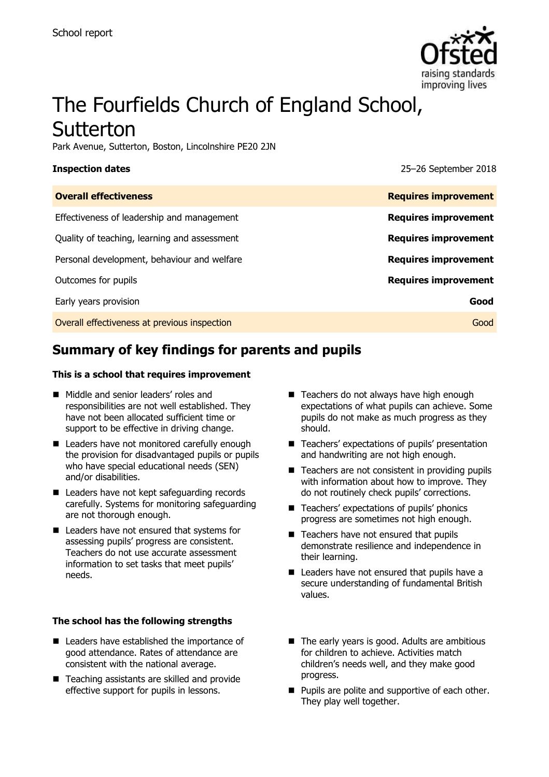

# The Fourfields Church of England School, Sutterton

Park Avenue, Sutterton, Boston, Lincolnshire PE20 2JN

**Inspection dates** 25–26 September 2018

| <b>Overall effectiveness</b>                 | <b>Requires improvement</b> |
|----------------------------------------------|-----------------------------|
| Effectiveness of leadership and management   | <b>Requires improvement</b> |
| Quality of teaching, learning and assessment | <b>Requires improvement</b> |
| Personal development, behaviour and welfare  | <b>Requires improvement</b> |
| Outcomes for pupils                          | <b>Requires improvement</b> |
| Early years provision                        | Good                        |
| Overall effectiveness at previous inspection | Good                        |

# **Summary of key findings for parents and pupils**

### **This is a school that requires improvement**

- Middle and senior leaders' roles and responsibilities are not well established. They have not been allocated sufficient time or support to be effective in driving change.
- Leaders have not monitored carefully enough the provision for disadvantaged pupils or pupils who have special educational needs (SEN) and/or disabilities.
- Leaders have not kept safeguarding records carefully. Systems for monitoring safeguarding are not thorough enough.
- Leaders have not ensured that systems for assessing pupils' progress are consistent. Teachers do not use accurate assessment information to set tasks that meet pupils' needs.

### **The school has the following strengths**

- Leaders have established the importance of good attendance. Rates of attendance are consistent with the national average.
- Teaching assistants are skilled and provide effective support for pupils in lessons.
- Teachers do not always have high enough expectations of what pupils can achieve. Some pupils do not make as much progress as they should.
- Teachers' expectations of pupils' presentation and handwriting are not high enough.
- $\blacksquare$  Teachers are not consistent in providing pupils with information about how to improve. They do not routinely check pupils' corrections.
- Teachers' expectations of pupils' phonics progress are sometimes not high enough.
- Teachers have not ensured that pupils demonstrate resilience and independence in their learning.
- Leaders have not ensured that pupils have a secure understanding of fundamental British values.
- $\blacksquare$  The early years is good. Adults are ambitious for children to achieve. Activities match children's needs well, and they make good progress.
- **Pupils are polite and supportive of each other.** They play well together.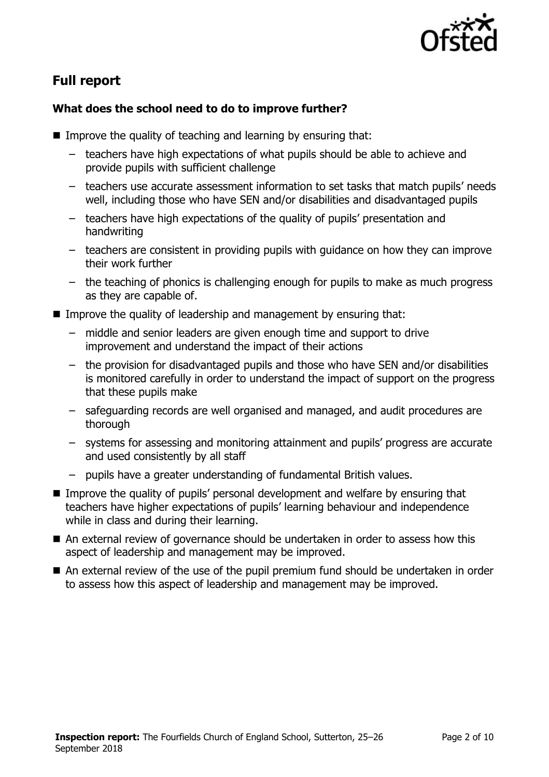

# **Full report**

# **What does the school need to do to improve further?**

- **IMPROVE the quality of teaching and learning by ensuring that:** 
	- teachers have high expectations of what pupils should be able to achieve and provide pupils with sufficient challenge
	- teachers use accurate assessment information to set tasks that match pupils' needs well, including those who have SEN and/or disabilities and disadvantaged pupils
	- teachers have high expectations of the quality of pupils' presentation and handwriting
	- teachers are consistent in providing pupils with guidance on how they can improve their work further
	- the teaching of phonics is challenging enough for pupils to make as much progress as they are capable of.
- Improve the quality of leadership and management by ensuring that:
	- middle and senior leaders are given enough time and support to drive improvement and understand the impact of their actions
	- the provision for disadvantaged pupils and those who have SEN and/or disabilities is monitored carefully in order to understand the impact of support on the progress that these pupils make
	- safeguarding records are well organised and managed, and audit procedures are thorough
	- systems for assessing and monitoring attainment and pupils' progress are accurate and used consistently by all staff
	- pupils have a greater understanding of fundamental British values.
- **IMPROVE THE QUALITY OF PUPILS' personal development and welfare by ensuring that** teachers have higher expectations of pupils' learning behaviour and independence while in class and during their learning.
- An external review of governance should be undertaken in order to assess how this aspect of leadership and management may be improved.
- An external review of the use of the pupil premium fund should be undertaken in order to assess how this aspect of leadership and management may be improved.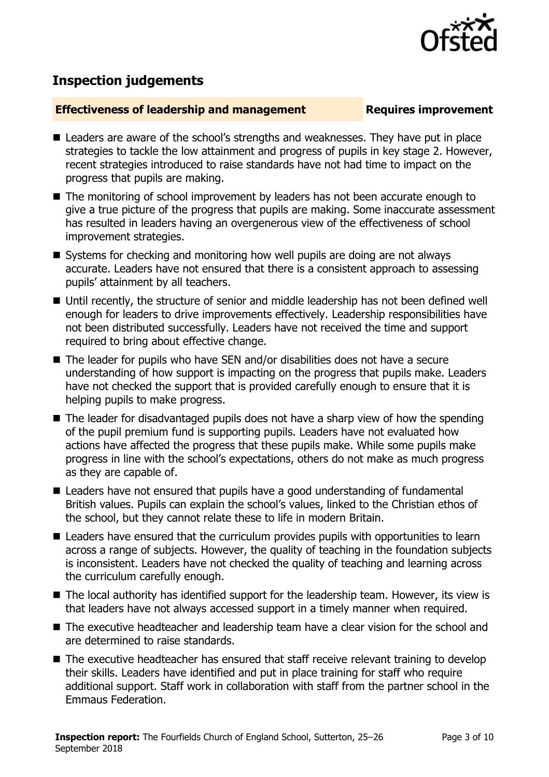

# **Inspection judgements**

# **Effectiveness of leadership and management Requires improvement**

- Leaders are aware of the school's strengths and weaknesses. They have put in place strategies to tackle the low attainment and progress of pupils in key stage 2. However, recent strategies introduced to raise standards have not had time to impact on the progress that pupils are making.
- The monitoring of school improvement by leaders has not been accurate enough to give a true picture of the progress that pupils are making. Some inaccurate assessment has resulted in leaders having an overgenerous view of the effectiveness of school improvement strategies.
- Systems for checking and monitoring how well pupils are doing are not always accurate. Leaders have not ensured that there is a consistent approach to assessing pupils' attainment by all teachers.
- Until recently, the structure of senior and middle leadership has not been defined well enough for leaders to drive improvements effectively. Leadership responsibilities have not been distributed successfully. Leaders have not received the time and support required to bring about effective change.
- The leader for pupils who have SEN and/or disabilities does not have a secure understanding of how support is impacting on the progress that pupils make. Leaders have not checked the support that is provided carefully enough to ensure that it is helping pupils to make progress.
- $\blacksquare$  The leader for disadvantaged pupils does not have a sharp view of how the spending of the pupil premium fund is supporting pupils. Leaders have not evaluated how actions have affected the progress that these pupils make. While some pupils make progress in line with the school's expectations, others do not make as much progress as they are capable of.
- Leaders have not ensured that pupils have a good understanding of fundamental British values. Pupils can explain the school's values, linked to the Christian ethos of the school, but they cannot relate these to life in modern Britain.
- Leaders have ensured that the curriculum provides pupils with opportunities to learn across a range of subjects. However, the quality of teaching in the foundation subjects is inconsistent. Leaders have not checked the quality of teaching and learning across the curriculum carefully enough.
- The local authority has identified support for the leadership team. However, its view is that leaders have not always accessed support in a timely manner when required.
- The executive headteacher and leadership team have a clear vision for the school and are determined to raise standards.
- The executive headteacher has ensured that staff receive relevant training to develop their skills. Leaders have identified and put in place training for staff who require additional support. Staff work in collaboration with staff from the partner school in the Emmaus Federation.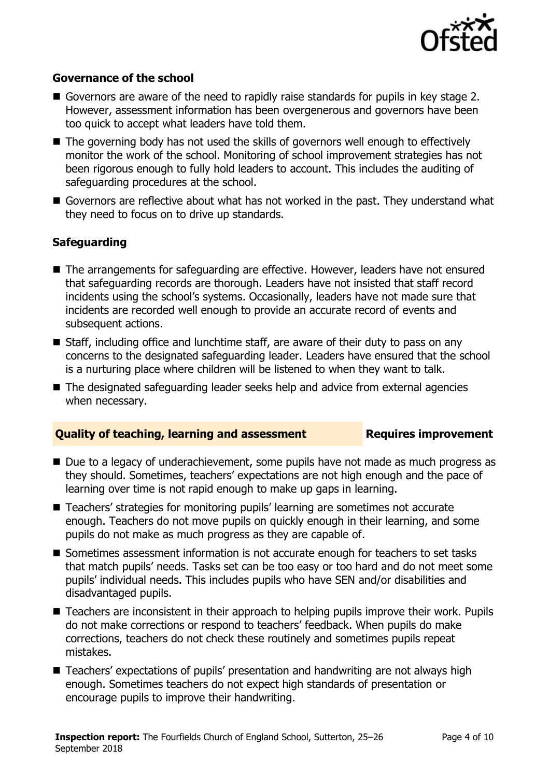

# **Governance of the school**

- Governors are aware of the need to rapidly raise standards for pupils in key stage 2. However, assessment information has been overgenerous and governors have been too quick to accept what leaders have told them.
- The governing body has not used the skills of governors well enough to effectively monitor the work of the school. Monitoring of school improvement strategies has not been rigorous enough to fully hold leaders to account. This includes the auditing of safeguarding procedures at the school.
- Governors are reflective about what has not worked in the past. They understand what they need to focus on to drive up standards.

# **Safeguarding**

- The arrangements for safeguarding are effective. However, leaders have not ensured that safeguarding records are thorough. Leaders have not insisted that staff record incidents using the school's systems. Occasionally, leaders have not made sure that incidents are recorded well enough to provide an accurate record of events and subsequent actions.
- Staff, including office and lunchtime staff, are aware of their duty to pass on any concerns to the designated safeguarding leader. Leaders have ensured that the school is a nurturing place where children will be listened to when they want to talk.
- The designated safeguarding leader seeks help and advice from external agencies when necessary.

## **Quality of teaching, learning and assessment France Requires improvement**

- Due to a legacy of underachievement, some pupils have not made as much progress as they should. Sometimes, teachers' expectations are not high enough and the pace of learning over time is not rapid enough to make up gaps in learning.
- Teachers' strategies for monitoring pupils' learning are sometimes not accurate enough. Teachers do not move pupils on quickly enough in their learning, and some pupils do not make as much progress as they are capable of.
- Sometimes assessment information is not accurate enough for teachers to set tasks that match pupils' needs. Tasks set can be too easy or too hard and do not meet some pupils' individual needs. This includes pupils who have SEN and/or disabilities and disadvantaged pupils.
- Teachers are inconsistent in their approach to helping pupils improve their work. Pupils do not make corrections or respond to teachers' feedback. When pupils do make corrections, teachers do not check these routinely and sometimes pupils repeat mistakes.
- Teachers' expectations of pupils' presentation and handwriting are not always high enough. Sometimes teachers do not expect high standards of presentation or encourage pupils to improve their handwriting.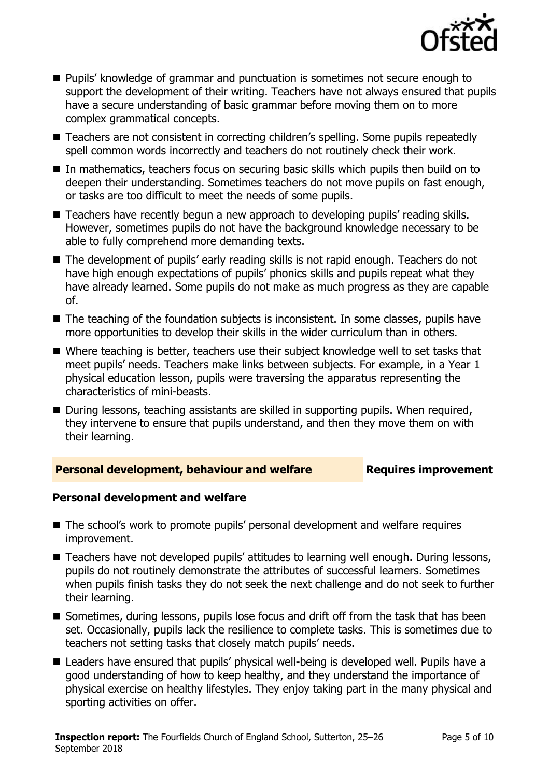

- Pupils' knowledge of grammar and punctuation is sometimes not secure enough to support the development of their writing. Teachers have not always ensured that pupils have a secure understanding of basic grammar before moving them on to more complex grammatical concepts.
- Teachers are not consistent in correcting children's spelling. Some pupils repeatedly spell common words incorrectly and teachers do not routinely check their work.
- In mathematics, teachers focus on securing basic skills which pupils then build on to deepen their understanding. Sometimes teachers do not move pupils on fast enough, or tasks are too difficult to meet the needs of some pupils.
- Teachers have recently begun a new approach to developing pupils' reading skills. However, sometimes pupils do not have the background knowledge necessary to be able to fully comprehend more demanding texts.
- The development of pupils' early reading skills is not rapid enough. Teachers do not have high enough expectations of pupils' phonics skills and pupils repeat what they have already learned. Some pupils do not make as much progress as they are capable of.
- The teaching of the foundation subjects is inconsistent. In some classes, pupils have more opportunities to develop their skills in the wider curriculum than in others.
- Where teaching is better, teachers use their subject knowledge well to set tasks that meet pupils' needs. Teachers make links between subjects. For example, in a Year 1 physical education lesson, pupils were traversing the apparatus representing the characteristics of mini-beasts.
- During lessons, teaching assistants are skilled in supporting pupils. When required, they intervene to ensure that pupils understand, and then they move them on with their learning.

## **Personal development, behaviour and welfare <b>Requires improvement**

## **Personal development and welfare**

- The school's work to promote pupils' personal development and welfare requires improvement.
- Teachers have not developed pupils' attitudes to learning well enough. During lessons, pupils do not routinely demonstrate the attributes of successful learners. Sometimes when pupils finish tasks they do not seek the next challenge and do not seek to further their learning.
- Sometimes, during lessons, pupils lose focus and drift off from the task that has been set. Occasionally, pupils lack the resilience to complete tasks. This is sometimes due to teachers not setting tasks that closely match pupils' needs.
- Leaders have ensured that pupils' physical well-being is developed well. Pupils have a good understanding of how to keep healthy, and they understand the importance of physical exercise on healthy lifestyles. They enjoy taking part in the many physical and sporting activities on offer.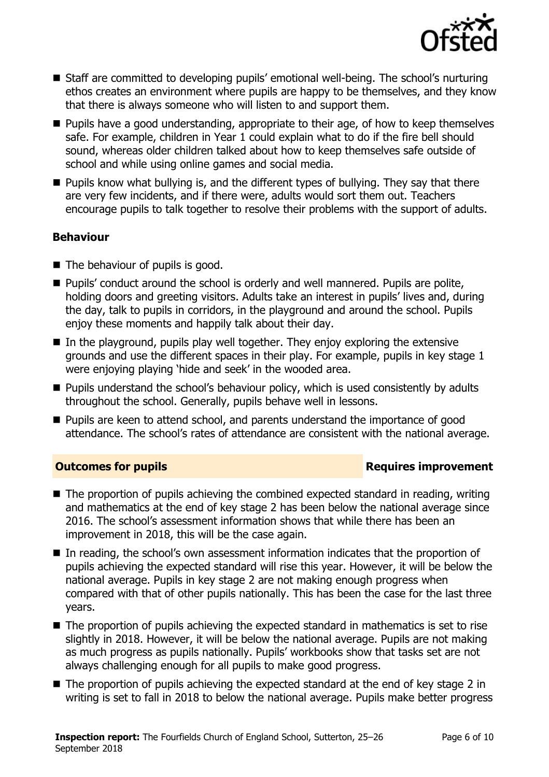

- Staff are committed to developing pupils' emotional well-being. The school's nurturing ethos creates an environment where pupils are happy to be themselves, and they know that there is always someone who will listen to and support them.
- **Pupils have a good understanding, appropriate to their age, of how to keep themselves** safe. For example, children in Year 1 could explain what to do if the fire bell should sound, whereas older children talked about how to keep themselves safe outside of school and while using online games and social media.
- $\blacksquare$  Pupils know what bullying is, and the different types of bullying. They say that there are very few incidents, and if there were, adults would sort them out. Teachers encourage pupils to talk together to resolve their problems with the support of adults.

# **Behaviour**

- The behaviour of pupils is good.
- **Pupils'** conduct around the school is orderly and well mannered. Pupils are polite, holding doors and greeting visitors. Adults take an interest in pupils' lives and, during the day, talk to pupils in corridors, in the playground and around the school. Pupils enjoy these moments and happily talk about their day.
- $\blacksquare$  In the playground, pupils play well together. They enjoy exploring the extensive grounds and use the different spaces in their play. For example, pupils in key stage 1 were enjoying playing 'hide and seek' in the wooded area.
- **Pupils understand the school's behaviour policy, which is used consistently by adults** throughout the school. Generally, pupils behave well in lessons.
- **Pupils are keen to attend school, and parents understand the importance of good** attendance. The school's rates of attendance are consistent with the national average.

# **Outcomes for pupils Requires improvement**

- The proportion of pupils achieving the combined expected standard in reading, writing and mathematics at the end of key stage 2 has been below the national average since 2016. The school's assessment information shows that while there has been an improvement in 2018, this will be the case again.
- In reading, the school's own assessment information indicates that the proportion of pupils achieving the expected standard will rise this year. However, it will be below the national average. Pupils in key stage 2 are not making enough progress when compared with that of other pupils nationally. This has been the case for the last three years.
- The proportion of pupils achieving the expected standard in mathematics is set to rise slightly in 2018. However, it will be below the national average. Pupils are not making as much progress as pupils nationally. Pupils' workbooks show that tasks set are not always challenging enough for all pupils to make good progress.
- The proportion of pupils achieving the expected standard at the end of key stage 2 in writing is set to fall in 2018 to below the national average. Pupils make better progress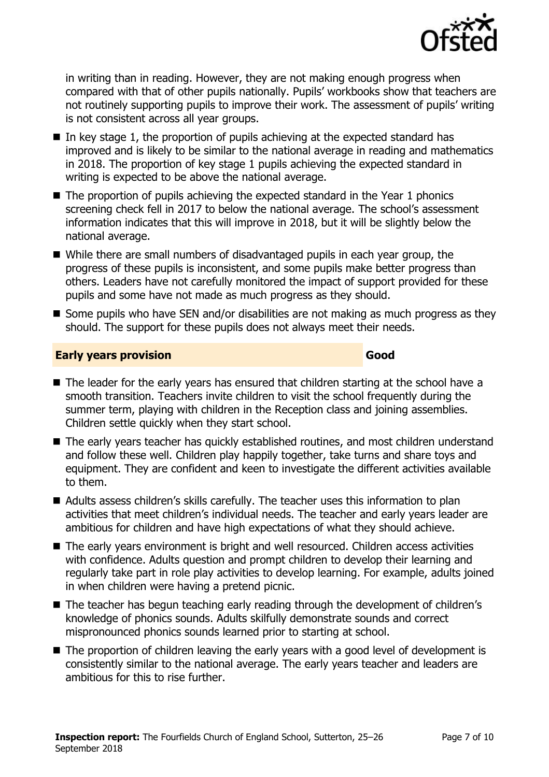

in writing than in reading. However, they are not making enough progress when compared with that of other pupils nationally. Pupils' workbooks show that teachers are not routinely supporting pupils to improve their work. The assessment of pupils' writing is not consistent across all year groups.

- In key stage 1, the proportion of pupils achieving at the expected standard has improved and is likely to be similar to the national average in reading and mathematics in 2018. The proportion of key stage 1 pupils achieving the expected standard in writing is expected to be above the national average.
- $\blacksquare$  The proportion of pupils achieving the expected standard in the Year 1 phonics screening check fell in 2017 to below the national average. The school's assessment information indicates that this will improve in 2018, but it will be slightly below the national average.
- While there are small numbers of disadvantaged pupils in each year group, the progress of these pupils is inconsistent, and some pupils make better progress than others. Leaders have not carefully monitored the impact of support provided for these pupils and some have not made as much progress as they should.
- $\blacksquare$  Some pupils who have SEN and/or disabilities are not making as much progress as they should. The support for these pupils does not always meet their needs.

# **Early years provision Good Good**

- The leader for the early years has ensured that children starting at the school have a smooth transition. Teachers invite children to visit the school frequently during the summer term, playing with children in the Reception class and joining assemblies. Children settle quickly when they start school.
- The early years teacher has quickly established routines, and most children understand and follow these well. Children play happily together, take turns and share toys and equipment. They are confident and keen to investigate the different activities available to them.
- Adults assess children's skills carefully. The teacher uses this information to plan activities that meet children's individual needs. The teacher and early years leader are ambitious for children and have high expectations of what they should achieve.
- The early years environment is bright and well resourced. Children access activities with confidence. Adults question and prompt children to develop their learning and regularly take part in role play activities to develop learning. For example, adults joined in when children were having a pretend picnic.
- The teacher has begun teaching early reading through the development of children's knowledge of phonics sounds. Adults skilfully demonstrate sounds and correct mispronounced phonics sounds learned prior to starting at school.
- The proportion of children leaving the early years with a good level of development is consistently similar to the national average. The early years teacher and leaders are ambitious for this to rise further.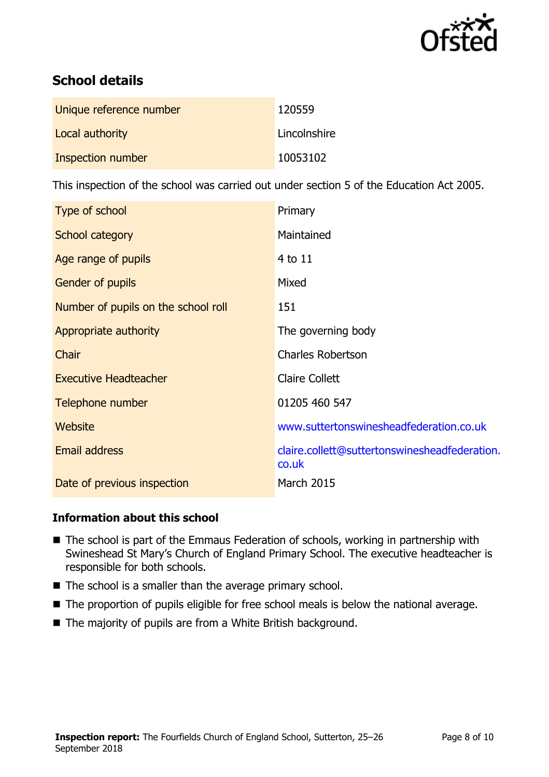

# **School details**

| Unique reference number | 120559       |
|-------------------------|--------------|
| Local authority         | Lincolnshire |
| Inspection number       | 10053102     |

This inspection of the school was carried out under section 5 of the Education Act 2005.

| Type of school                      | Primary                                                |
|-------------------------------------|--------------------------------------------------------|
| School category                     | Maintained                                             |
| Age range of pupils                 | 4 to 11                                                |
| Gender of pupils                    | Mixed                                                  |
| Number of pupils on the school roll | 151                                                    |
| Appropriate authority               | The governing body                                     |
| Chair                               | <b>Charles Robertson</b>                               |
| <b>Executive Headteacher</b>        | <b>Claire Collett</b>                                  |
| Telephone number                    | 01205 460 547                                          |
| Website                             | www.suttertonswinesheadfederation.co.uk                |
| <b>Email address</b>                | claire.collett@suttertonswinesheadfederation.<br>co.uk |
| Date of previous inspection         | <b>March 2015</b>                                      |

# **Information about this school**

- The school is part of the Emmaus Federation of schools, working in partnership with Swineshead St Mary's Church of England Primary School. The executive headteacher is responsible for both schools.
- $\blacksquare$  The school is a smaller than the average primary school.
- The proportion of pupils eligible for free school meals is below the national average.
- The majority of pupils are from a White British background.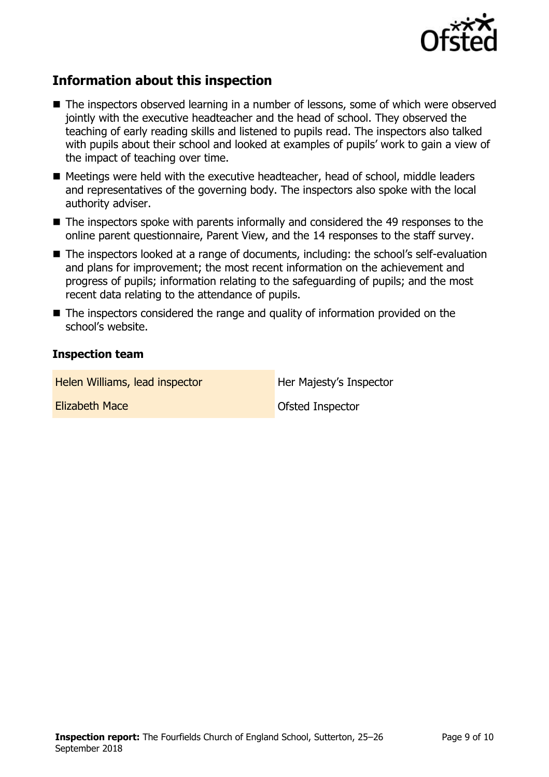

# **Information about this inspection**

- The inspectors observed learning in a number of lessons, some of which were observed jointly with the executive headteacher and the head of school. They observed the teaching of early reading skills and listened to pupils read. The inspectors also talked with pupils about their school and looked at examples of pupils' work to gain a view of the impact of teaching over time.
- Meetings were held with the executive headteacher, head of school, middle leaders and representatives of the governing body. The inspectors also spoke with the local authority adviser.
- The inspectors spoke with parents informally and considered the 49 responses to the online parent questionnaire, Parent View, and the 14 responses to the staff survey.
- The inspectors looked at a range of documents, including: the school's self-evaluation and plans for improvement; the most recent information on the achievement and progress of pupils; information relating to the safeguarding of pupils; and the most recent data relating to the attendance of pupils.
- The inspectors considered the range and quality of information provided on the school's website.

## **Inspection team**

Helen Williams, lead inspector **Her Majesty's Inspector** 

**Elizabeth Mace Ofsted Inspector**